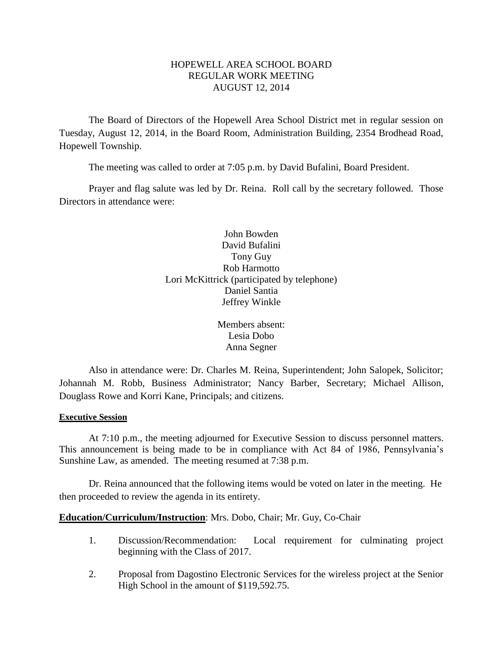# HOPEWELL AREA SCHOOL BOARD REGULAR WORK MEETING AUGUST 12, 2014

The Board of Directors of the Hopewell Area School District met in regular session on Tuesday, August 12, 2014, in the Board Room, Administration Building, 2354 Brodhead Road, Hopewell Township.

The meeting was called to order at 7:05 p.m. by David Bufalini, Board President.

Prayer and flag salute was led by Dr. Reina. Roll call by the secretary followed. Those Directors in attendance were:

> John Bowden David Bufalini Tony Guy Rob Harmotto Lori McKittrick (participated by telephone) Daniel Santia Jeffrey Winkle

> > Members absent: Lesia Dobo Anna Segner

Also in attendance were: Dr. Charles M. Reina, Superintendent; John Salopek, Solicitor; Johannah M. Robb, Business Administrator; Nancy Barber, Secretary; Michael Allison, Douglass Rowe and Korri Kane, Principals; and citizens.

# **Executive Session**

At 7:10 p.m., the meeting adjourned for Executive Session to discuss personnel matters. This announcement is being made to be in compliance with Act 84 of 1986, Pennsylvania's Sunshine Law, as amended. The meeting resumed at 7:38 p.m.

Dr. Reina announced that the following items would be voted on later in the meeting. He then proceeded to review the agenda in its entirety.

# **Education/Curriculum/Instruction**: Mrs. Dobo, Chair; Mr. Guy, Co-Chair

- 1. Discussion/Recommendation: Local requirement for culminating project beginning with the Class of 2017.
- 2. Proposal from Dagostino Electronic Services for the wireless project at the Senior High School in the amount of \$119,592.75.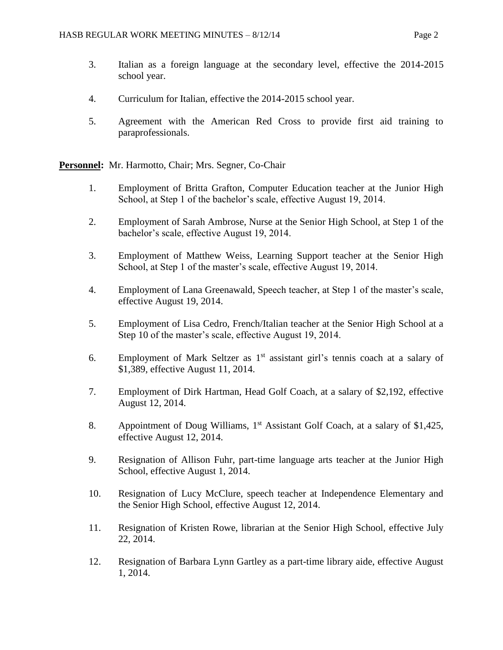- 3. Italian as a foreign language at the secondary level, effective the 2014-2015 school year.
- 4. Curriculum for Italian, effective the 2014-2015 school year.
- 5. Agreement with the American Red Cross to provide first aid training to paraprofessionals.

**Personnel:** Mr. Harmotto, Chair; Mrs. Segner, Co-Chair

- 1. Employment of Britta Grafton, Computer Education teacher at the Junior High School, at Step 1 of the bachelor's scale, effective August 19, 2014.
- 2. Employment of Sarah Ambrose, Nurse at the Senior High School, at Step 1 of the bachelor's scale, effective August 19, 2014.
- 3. Employment of Matthew Weiss, Learning Support teacher at the Senior High School, at Step 1 of the master's scale, effective August 19, 2014.
- 4. Employment of Lana Greenawald, Speech teacher, at Step 1 of the master's scale, effective August 19, 2014.
- 5. Employment of Lisa Cedro, French/Italian teacher at the Senior High School at a Step 10 of the master's scale, effective August 19, 2014.
- 6. Employment of Mark Seltzer as  $1<sup>st</sup>$  assistant girl's tennis coach at a salary of \$1,389, effective August 11, 2014.
- 7. Employment of Dirk Hartman, Head Golf Coach, at a salary of \$2,192, effective August 12, 2014.
- 8. Appointment of Doug Williams, 1<sup>st</sup> Assistant Golf Coach, at a salary of \$1,425, effective August 12, 2014.
- 9. Resignation of Allison Fuhr, part-time language arts teacher at the Junior High School, effective August 1, 2014.
- 10. Resignation of Lucy McClure, speech teacher at Independence Elementary and the Senior High School, effective August 12, 2014.
- 11. Resignation of Kristen Rowe, librarian at the Senior High School, effective July 22, 2014.
- 12. Resignation of Barbara Lynn Gartley as a part-time library aide, effective August 1, 2014.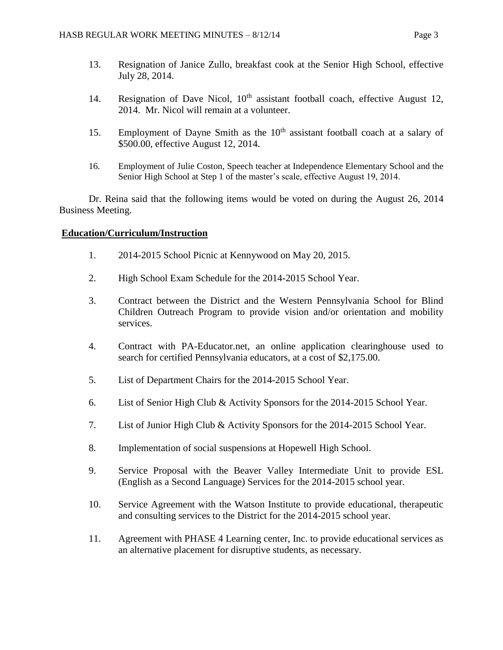- 13. Resignation of Janice Zullo, breakfast cook at the Senior High School, effective July 28, 2014.
- 14. Resignation of Dave Nicol, 10<sup>th</sup> assistant football coach, effective August 12, 2014. Mr. Nicol will remain at a volunteer.
- 15. Employment of Dayne Smith as the  $10<sup>th</sup>$  assistant football coach at a salary of \$500.00, effective August 12, 2014.
- 16. Employment of Julie Coston, Speech teacher at Independence Elementary School and the Senior High School at Step 1 of the master's scale, effective August 19, 2014.

Dr. Reina said that the following items would be voted on during the August 26, 2014 Business Meeting.

# **Education/Curriculum/Instruction**

- 1. 2014-2015 School Picnic at Kennywood on May 20, 2015.
- 2. High School Exam Schedule for the 2014-2015 School Year.
- 3. Contract between the District and the Western Pennsylvania School for Blind Children Outreach Program to provide vision and/or orientation and mobility services.
- 4. Contract with PA-Educator.net, an online application clearinghouse used to search for certified Pennsylvania educators, at a cost of \$2,175.00.
- 5. List of Department Chairs for the 2014-2015 School Year.
- 6. List of Senior High Club & Activity Sponsors for the 2014-2015 School Year.
- 7. List of Junior High Club & Activity Sponsors for the 2014-2015 School Year.
- 8. Implementation of social suspensions at Hopewell High School.
- 9. Service Proposal with the Beaver Valley Intermediate Unit to provide ESL (English as a Second Language) Services for the 2014-2015 school year.
- 10. Service Agreement with the Watson Institute to provide educational, therapeutic and consulting services to the District for the 2014-2015 school year.
- 11. Agreement with PHASE 4 Learning center, Inc. to provide educational services as an alternative placement for disruptive students, as necessary.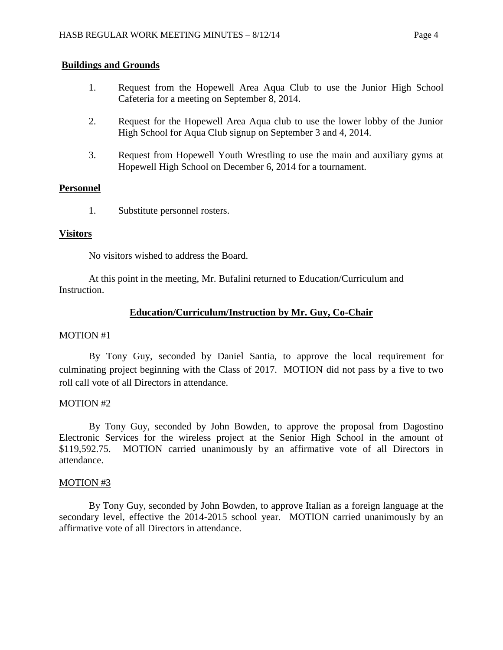## **Buildings and Grounds**

- 1. Request from the Hopewell Area Aqua Club to use the Junior High School Cafeteria for a meeting on September 8, 2014.
- 2. Request for the Hopewell Area Aqua club to use the lower lobby of the Junior High School for Aqua Club signup on September 3 and 4, 2014.
- 3. Request from Hopewell Youth Wrestling to use the main and auxiliary gyms at Hopewell High School on December 6, 2014 for a tournament.

## **Personnel**

1. Substitute personnel rosters.

## **Visitors**

No visitors wished to address the Board.

At this point in the meeting, Mr. Bufalini returned to Education/Curriculum and Instruction.

# **Education/Curriculum/Instruction by Mr. Guy, Co-Chair**

## MOTION #1

By Tony Guy, seconded by Daniel Santia, to approve the local requirement for culminating project beginning with the Class of 2017. MOTION did not pass by a five to two roll call vote of all Directors in attendance.

# MOTION #2

By Tony Guy, seconded by John Bowden, to approve the proposal from Dagostino Electronic Services for the wireless project at the Senior High School in the amount of \$119,592.75. MOTION carried unanimously by an affirmative vote of all Directors in attendance.

## MOTION #3

By Tony Guy, seconded by John Bowden, to approve Italian as a foreign language at the secondary level, effective the 2014-2015 school year. MOTION carried unanimously by an affirmative vote of all Directors in attendance.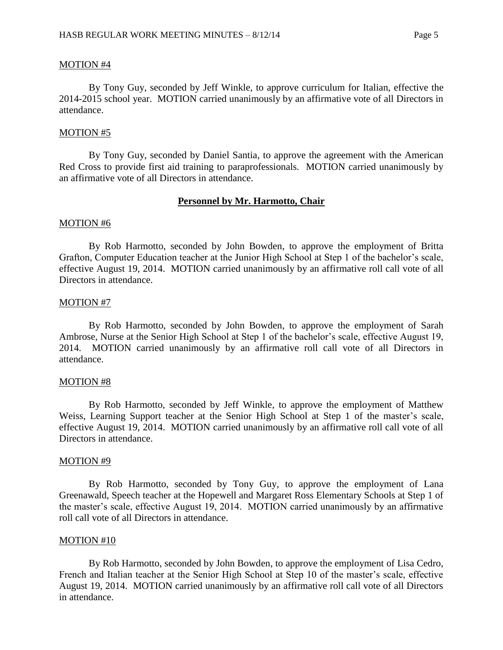### MOTION #4

By Tony Guy, seconded by Jeff Winkle, to approve curriculum for Italian, effective the 2014-2015 school year. MOTION carried unanimously by an affirmative vote of all Directors in attendance.

### MOTION #5

By Tony Guy, seconded by Daniel Santia, to approve the agreement with the American Red Cross to provide first aid training to paraprofessionals. MOTION carried unanimously by an affirmative vote of all Directors in attendance.

## **Personnel by Mr. Harmotto, Chair**

### MOTION #6

By Rob Harmotto, seconded by John Bowden, to approve the employment of Britta Grafton, Computer Education teacher at the Junior High School at Step 1 of the bachelor's scale, effective August 19, 2014. MOTION carried unanimously by an affirmative roll call vote of all Directors in attendance.

### MOTION #7

By Rob Harmotto, seconded by John Bowden, to approve the employment of Sarah Ambrose, Nurse at the Senior High School at Step 1 of the bachelor's scale, effective August 19, 2014. MOTION carried unanimously by an affirmative roll call vote of all Directors in attendance.

#### MOTION #8

By Rob Harmotto, seconded by Jeff Winkle, to approve the employment of Matthew Weiss, Learning Support teacher at the Senior High School at Step 1 of the master's scale, effective August 19, 2014. MOTION carried unanimously by an affirmative roll call vote of all Directors in attendance.

#### MOTION #9

By Rob Harmotto, seconded by Tony Guy, to approve the employment of Lana Greenawald, Speech teacher at the Hopewell and Margaret Ross Elementary Schools at Step 1 of the master's scale, effective August 19, 2014. MOTION carried unanimously by an affirmative roll call vote of all Directors in attendance.

#### MOTION #10

By Rob Harmotto, seconded by John Bowden, to approve the employment of Lisa Cedro, French and Italian teacher at the Senior High School at Step 10 of the master's scale, effective August 19, 2014. MOTION carried unanimously by an affirmative roll call vote of all Directors in attendance.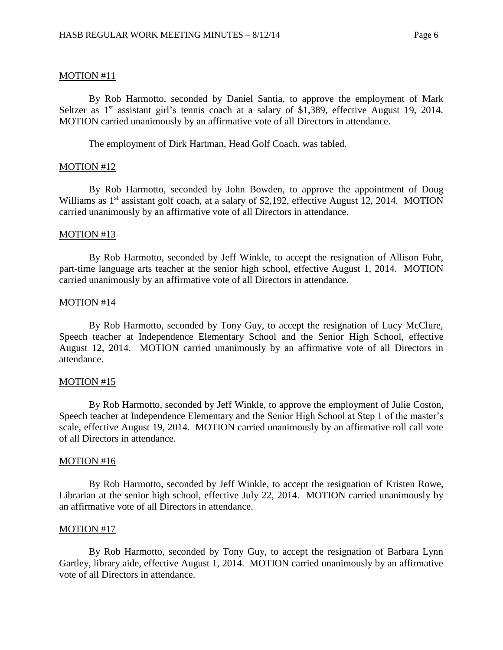## MOTION #11

By Rob Harmotto, seconded by Daniel Santia, to approve the employment of Mark Seltzer as  $1<sup>st</sup>$  assistant girl's tennis coach at a salary of \$1,389, effective August 19, 2014. MOTION carried unanimously by an affirmative vote of all Directors in attendance.

The employment of Dirk Hartman, Head Golf Coach, was tabled.

### MOTION #12

By Rob Harmotto, seconded by John Bowden, to approve the appointment of Doug Williams as 1<sup>st</sup> assistant golf coach, at a salary of \$2,192, effective August 12, 2014. MOTION carried unanimously by an affirmative vote of all Directors in attendance.

### MOTION #13

By Rob Harmotto, seconded by Jeff Winkle, to accept the resignation of Allison Fuhr, part-time language arts teacher at the senior high school, effective August 1, 2014. MOTION carried unanimously by an affirmative vote of all Directors in attendance.

### MOTION #14

By Rob Harmotto, seconded by Tony Guy, to accept the resignation of Lucy McClure, Speech teacher at Independence Elementary School and the Senior High School, effective August 12, 2014. MOTION carried unanimously by an affirmative vote of all Directors in attendance.

#### MOTION #15

By Rob Harmotto, seconded by Jeff Winkle, to approve the employment of Julie Coston, Speech teacher at Independence Elementary and the Senior High School at Step 1 of the master's scale, effective August 19, 2014. MOTION carried unanimously by an affirmative roll call vote of all Directors in attendance.

#### MOTION #16

By Rob Harmotto, seconded by Jeff Winkle, to accept the resignation of Kristen Rowe, Librarian at the senior high school, effective July 22, 2014. MOTION carried unanimously by an affirmative vote of all Directors in attendance.

#### MOTION #17

By Rob Harmotto, seconded by Tony Guy, to accept the resignation of Barbara Lynn Gartley, library aide, effective August 1, 2014. MOTION carried unanimously by an affirmative vote of all Directors in attendance.